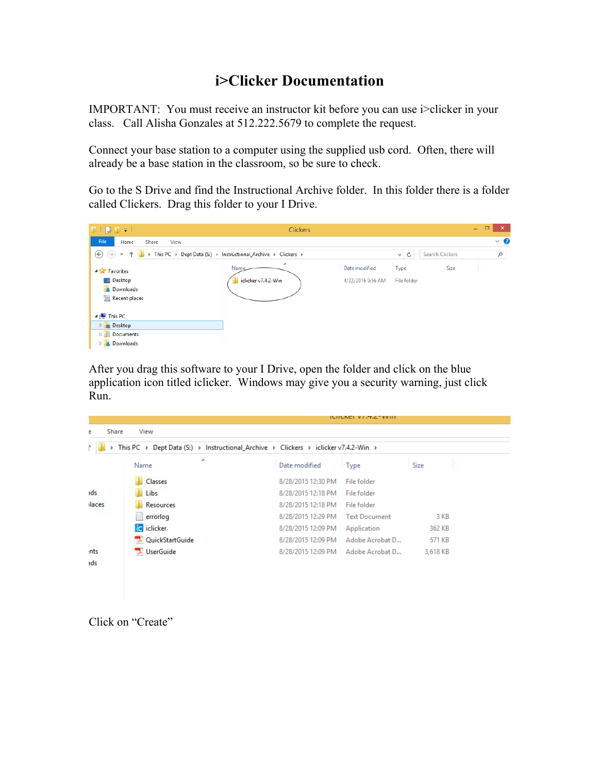# **i>Clicker Documentation**

IMPORTANT: You must receive an instructor kit before you can use i>clicker in your class. Call Alisha Gonzales at 512.222.5679 to complete the request.

Connect your base station to a computer using the supplied usb cord. Often, there will already be a base station in the classroom, so be sure to check.

Go to the S Drive and find the Instructional Archive folder. In this folder there is a folder called Clickers. Drag this folder to your I Drive.



After you drag this software to your I Drive, open the folder and click on the blue application icon titled iclicker. Windows may give you a security warning, just click Run.

| Share<br>e                                                                                                                                                  | View               |                    | <b>ICHCACL VI.T.C-VVIII</b> |          |  |  |  |
|-------------------------------------------------------------------------------------------------------------------------------------------------------------|--------------------|--------------------|-----------------------------|----------|--|--|--|
| This PC $\rightarrow$ Dept Data (S:) $\rightarrow$ Instructional_Archive $\rightarrow$ Clickers $\rightarrow$ iclicker v7.4.2-Win $\rightarrow$<br>N.<br>b. |                    |                    |                             |          |  |  |  |
|                                                                                                                                                             | ×<br>Name          | Date modified      | Type                        | Size     |  |  |  |
|                                                                                                                                                             | Classes            | 8/28/2015 12:30 PM | File folder                 |          |  |  |  |
| ids                                                                                                                                                         | Libs               | 8/28/2015 12:18 PM | File folder                 |          |  |  |  |
| <b>ilaces</b>                                                                                                                                               | Resources          | 8/28/2015 12:18 PM | File folder                 |          |  |  |  |
|                                                                                                                                                             | errorlog           | 8/28/2015 12:29 PM | <b>Text Document</b>        | 3 KB     |  |  |  |
|                                                                                                                                                             | <b>Ed</b> iclicker | 8/28/2015 12:09 PM | Application                 | 362 KB   |  |  |  |
|                                                                                                                                                             | QuickStartGuide    | 8/28/2015 12:09 PM | Adobe Acrobat D             | 571 KB   |  |  |  |
| ints                                                                                                                                                        | <b>UserGuide</b>   | 8/28/2015 12:09 PM | Adobe Acrobat D             | 3,618 KB |  |  |  |
| ids                                                                                                                                                         |                    |                    |                             |          |  |  |  |
|                                                                                                                                                             |                    |                    |                             |          |  |  |  |
|                                                                                                                                                             |                    |                    |                             |          |  |  |  |

Click on "Create"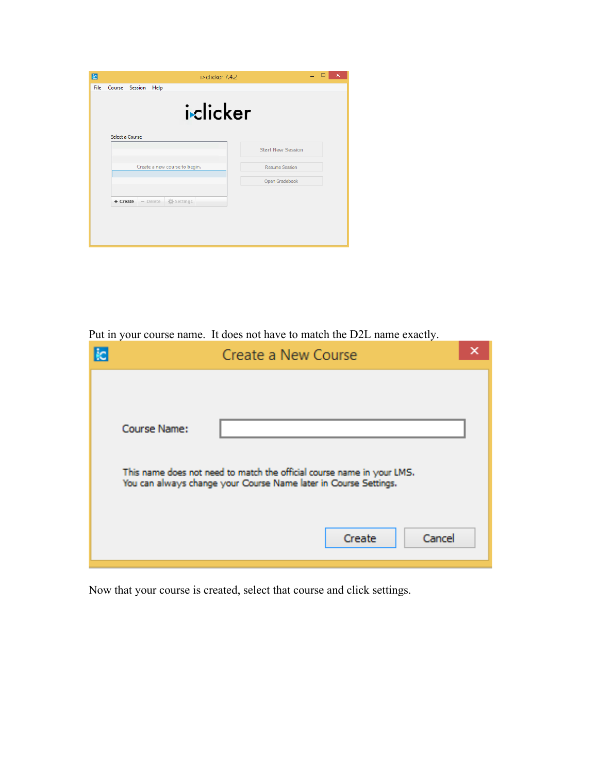| $i >$ clicker 7.4.2              | ×                        |
|----------------------------------|--------------------------|
| Course Session<br>Help           |                          |
| iclicker                         |                          |
|                                  | <b>Start New Session</b> |
| Create a new course to begin.    | <b>Resume Session</b>    |
|                                  | Open Gradebook           |
| Settings<br>+ Create<br>- Delete |                          |
|                                  |                          |
|                                  |                          |
|                                  | Select a Course          |

Put in your course name. It does not have to match the D2L name exactly.

|                                                                        | Create a New Course                                              |                  |  |
|------------------------------------------------------------------------|------------------------------------------------------------------|------------------|--|
| Course Name:                                                           |                                                                  |                  |  |
| This name does not need to match the official course name in your LMS. | You can always change your Course Name later in Course Settings. |                  |  |
|                                                                        |                                                                  | Cancel<br>Create |  |

Now that your course is created, select that course and click settings.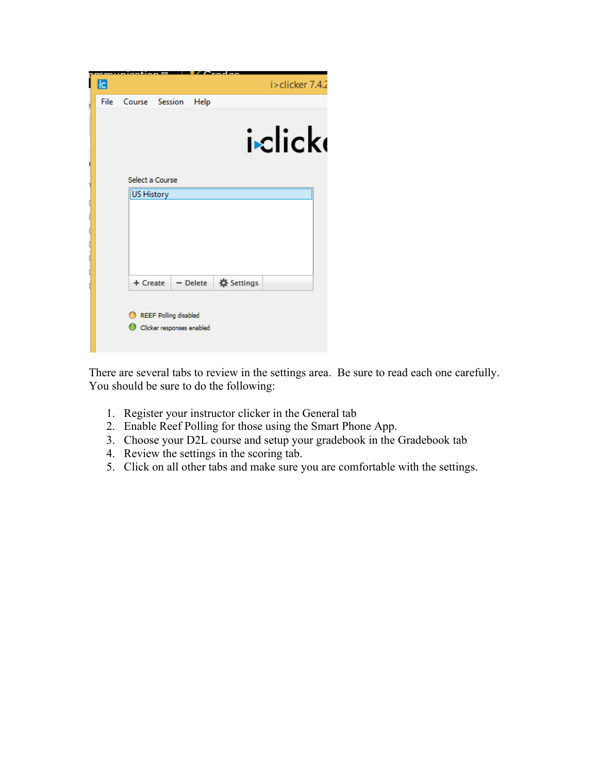|   | $\overline{\phantom{a}}$ ic |                   |                              |            | i>clicker 7.4.2 |  |
|---|-----------------------------|-------------------|------------------------------|------------|-----------------|--|
| ۹ | <b>File</b>                 |                   | Course Session               | Help       |                 |  |
|   |                             |                   |                              |            |                 |  |
|   |                             |                   |                              |            |                 |  |
|   |                             |                   |                              |            | iclick          |  |
|   |                             |                   |                              |            |                 |  |
| п |                             |                   |                              |            |                 |  |
|   |                             | Select a Course   |                              |            |                 |  |
|   |                             | <b>US History</b> |                              |            |                 |  |
|   |                             |                   |                              |            |                 |  |
|   |                             |                   |                              |            |                 |  |
|   |                             |                   |                              |            |                 |  |
|   |                             |                   |                              |            |                 |  |
|   |                             |                   |                              |            |                 |  |
|   |                             |                   |                              |            |                 |  |
|   |                             | + Create          |                              | $-$ Delete | Settings        |  |
|   |                             |                   |                              |            |                 |  |
|   |                             |                   |                              |            |                 |  |
|   |                             |                   | <b>REEF Polling disabled</b> |            |                 |  |
|   |                             |                   | Clicker responses enabled    |            |                 |  |
|   |                             |                   |                              |            |                 |  |
|   |                             |                   |                              |            |                 |  |

There are several tabs to review in the settings area. Be sure to read each one carefully. You should be sure to do the following:

- 1. Register your instructor clicker in the General tab
- 2. Enable Reef Polling for those using the Smart Phone App.
- 3. Choose your D2L course and setup your gradebook in the Gradebook tab
- 4. Review the settings in the scoring tab.
- 5. Click on all other tabs and make sure you are comfortable with the settings.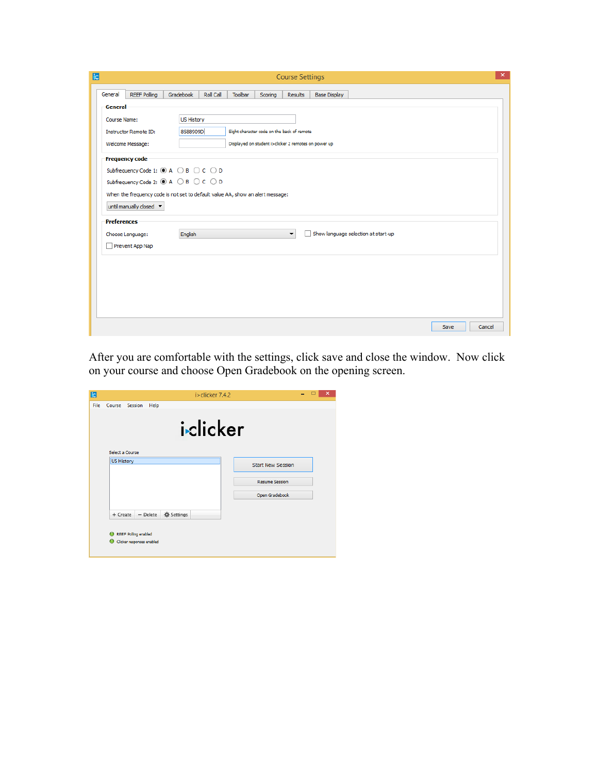|                    |                                                                                |                                      |           |         |                                                      | <b>Course Settings</b>   |                                     |  |
|--------------------|--------------------------------------------------------------------------------|--------------------------------------|-----------|---------|------------------------------------------------------|--------------------------|-------------------------------------|--|
| General            | <b>REEF Polling</b>                                                            | Gradebook                            | Roll Call | Toolbar | Scoring                                              | <b>Results</b>           | <b>Base Display</b>                 |  |
| General            |                                                                                |                                      |           |         |                                                      |                          |                                     |  |
| Course Name:       |                                                                                | <b>US History</b>                    |           |         |                                                      |                          |                                     |  |
|                    | <b>Instructor Remote ID:</b>                                                   | 8588909D                             |           |         | Eight character code on the back of remote           |                          |                                     |  |
|                    | Welcome Message:                                                               |                                      |           |         | Displayed on student i>clicker 2 remotes on power up |                          |                                     |  |
|                    | <b>Frequency code</b>                                                          |                                      |           |         |                                                      |                          |                                     |  |
|                    | Subfrequency Code 1: ◉ A ○ B ○ C ○ D                                           |                                      |           |         |                                                      |                          |                                     |  |
|                    |                                                                                | Subfrequency Code 2: ◉ A ○ B ○ C ○ D |           |         |                                                      |                          |                                     |  |
|                    |                                                                                |                                      |           |         |                                                      |                          |                                     |  |
|                    | When the frequency code is not set to default value AA, show an alert message: |                                      |           |         |                                                      |                          |                                     |  |
|                    | until manually closed v                                                        |                                      |           |         |                                                      |                          |                                     |  |
| <b>Preferences</b> |                                                                                |                                      |           |         |                                                      |                          |                                     |  |
|                    | Choose Language:                                                               | English                              |           |         |                                                      | $\overline{\phantom{a}}$ | Show language selection at start-up |  |
|                    | Prevent App Nap                                                                |                                      |           |         |                                                      |                          |                                     |  |
|                    |                                                                                |                                      |           |         |                                                      |                          |                                     |  |
|                    |                                                                                |                                      |           |         |                                                      |                          |                                     |  |
|                    |                                                                                |                                      |           |         |                                                      |                          |                                     |  |
|                    |                                                                                |                                      |           |         |                                                      |                          |                                     |  |
|                    |                                                                                |                                      |           |         |                                                      |                          |                                     |  |
|                    |                                                                                |                                      |           |         |                                                      |                          |                                     |  |

After you are comfortable with the settings, click save and close the window. Now click on your course and choose Open Gradebook on the opening screen.

| File<br>Course Session<br>Help<br>iclicker<br>Select a Course                                  |  |
|------------------------------------------------------------------------------------------------|--|
|                                                                                                |  |
|                                                                                                |  |
|                                                                                                |  |
| US History<br><b>Start New Session</b>                                                         |  |
| <b>Resume Session</b>                                                                          |  |
| Open Gradebook                                                                                 |  |
| Settings<br>$-$ Delete<br>+ Create<br><b>REEF Polling enabled</b><br>Clicker responses enabled |  |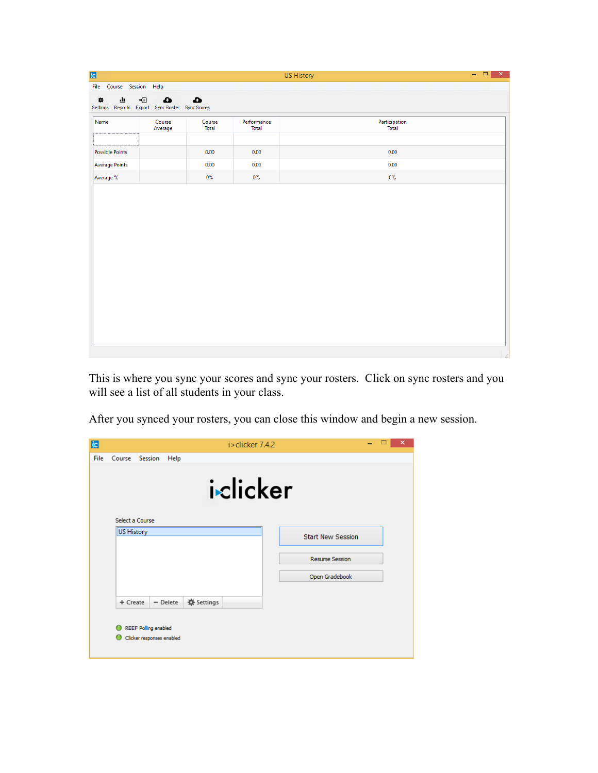| – □ × | US History             |                      |                 |                                                              |     |                          | <b>ic</b>              |
|-------|------------------------|----------------------|-----------------|--------------------------------------------------------------|-----|--------------------------|------------------------|
|       |                        |                      |                 |                                                              |     | File Course Session Help |                        |
|       |                        |                      | ▵               | $\bullet$<br>Settings Reports Export Sync Roster Sync Scores | ا∃+ | 画                        | ÷                      |
|       | Participation<br>Total | Performance<br>Total | Course<br>Total | Course<br>Average                                            |     |                          | Name                   |
|       | 0.00                   | 0.00                 | 0.00            |                                                              |     |                          | <b>Possible Points</b> |
|       | 0.00                   | 0.00                 | 0.00            |                                                              |     |                          | <b>Average Points</b>  |
|       | 0%                     | 0%                   | 0%              |                                                              |     |                          | Average %              |
|       |                        |                      |                 |                                                              |     |                          |                        |
|       |                        |                      |                 |                                                              |     |                          |                        |

This is where you sync your scores and sync your rosters. Click on sync rosters and you will see a list of all students in your class.

After you synced your rosters, you can close this window and begin a new session.

| <b>k</b> |                   |                             |            |          | i > clicker 7.4.2 |                          |  | × |
|----------|-------------------|-----------------------------|------------|----------|-------------------|--------------------------|--|---|
| File     |                   | Course Session              | Help       |          |                   |                          |  |   |
|          |                   |                             |            |          | iclicker          |                          |  |   |
|          |                   | Select a Course             |            |          |                   |                          |  |   |
|          | <b>US History</b> |                             |            |          |                   | <b>Start New Session</b> |  |   |
|          |                   |                             |            |          |                   |                          |  |   |
|          |                   |                             |            |          |                   | <b>Resume Session</b>    |  |   |
|          |                   |                             |            |          |                   | Open Gradebook           |  |   |
|          | + Create          |                             | $-$ Delete | Settings |                   |                          |  |   |
|          |                   | <b>REEF Polling enabled</b> |            |          |                   |                          |  |   |
|          |                   | Clicker responses enabled   |            |          |                   |                          |  |   |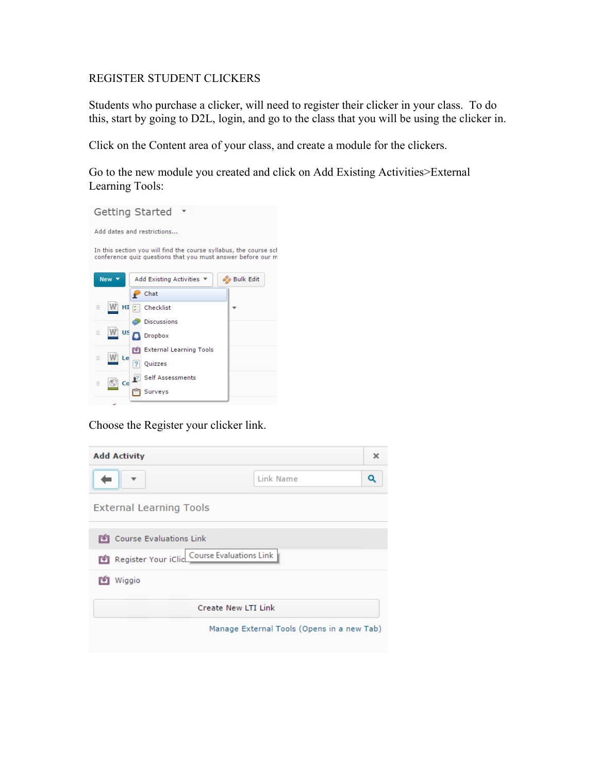#### REGISTER STUDENT CLICKERS

Students who purchase a clicker, will need to register their clicker in your class. To do this, start by going to D2L, login, and go to the class that you will be using the clicker in.

Click on the Content area of your class, and create a module for the clickers.

Go to the new module you created and click on Add Existing Activities>External Learning Tools:



Choose the Register your clicker link.

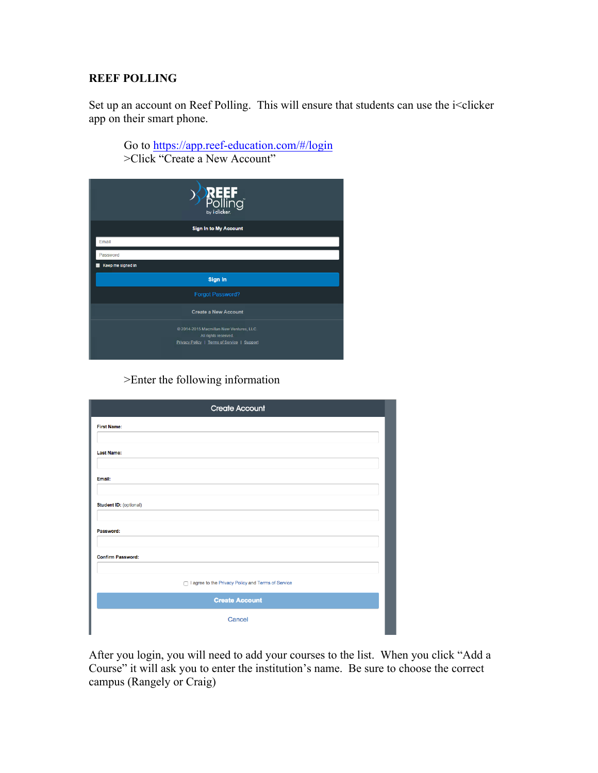#### **REEF POLLING**

Set up an account on Reef Polling. This will ensure that students can use the i<clicker app on their smart phone.

| Go to https://app.reef-education.com/#/login |
|----------------------------------------------|
| >Click "Create a New Account"                |

|                   | <b>REEF</b><br>Polling<br><sub>by idicker.</sub>                                                                |  |
|-------------------|-----------------------------------------------------------------------------------------------------------------|--|
|                   | <b>Sign In to My Account</b>                                                                                    |  |
| Email             |                                                                                                                 |  |
| Password          |                                                                                                                 |  |
| Keep me signed in |                                                                                                                 |  |
|                   | Sign In                                                                                                         |  |
|                   | Forgot Password?                                                                                                |  |
|                   | <b>Create a New Account</b>                                                                                     |  |
|                   | @ 2014-2015 Macmillan New Ventures, LLC.<br>All rights reserved.<br>Privacy Policy   Terms of Service   Support |  |

>Enter the following information

| <b>First Name:</b>                                 |
|----------------------------------------------------|
| <b>Last Name:</b>                                  |
|                                                    |
| Email:                                             |
| <b>Student ID: (optional)</b>                      |
|                                                    |
| Password:                                          |
| <b>Confirm Password:</b>                           |
|                                                    |
| I agree to the Privacy Policy and Terms of Service |
| <b>Create Account</b>                              |
| Cancel                                             |

After you login, you will need to add your courses to the list. When you click "Add a Course" it will ask you to enter the institution's name. Be sure to choose the correct campus (Rangely or Craig)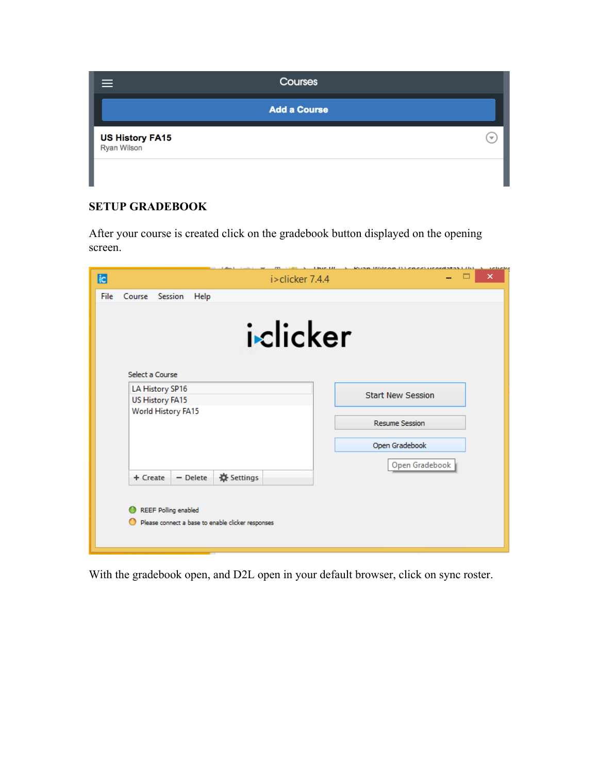| ≡                                     | Courses                  |
|---------------------------------------|--------------------------|
|                                       | <b>Add a Course</b>      |
| <b>US History FA15</b><br>Ryan Wilson | $\overline{\phantom{a}}$ |
|                                       |                          |

## **SETUP GRADEBOOK**

After your course is created click on the gradebook button displayed on the opening screen.

| k<br>i>clicker 7.4.4                                                      | $15.07 - 111$<br><u>retreter</u><br>× |
|---------------------------------------------------------------------------|---------------------------------------|
| <b>File</b><br>Course Session<br>Help                                     |                                       |
| iclicker<br>Select a Course.                                              |                                       |
| LA History SP16                                                           |                                       |
| US History FA15                                                           | <b>Start New Session</b>              |
| World History FA15                                                        | <b>Resume Session</b>                 |
|                                                                           | Open Gradebook                        |
|                                                                           | Open Gradebook                        |
| Settings<br>$-$ Delete<br>+ Create                                        |                                       |
| REEF Polling enabled<br>Please connect a base to enable clicker responses |                                       |

With the gradebook open, and D2L open in your default browser, click on sync roster.